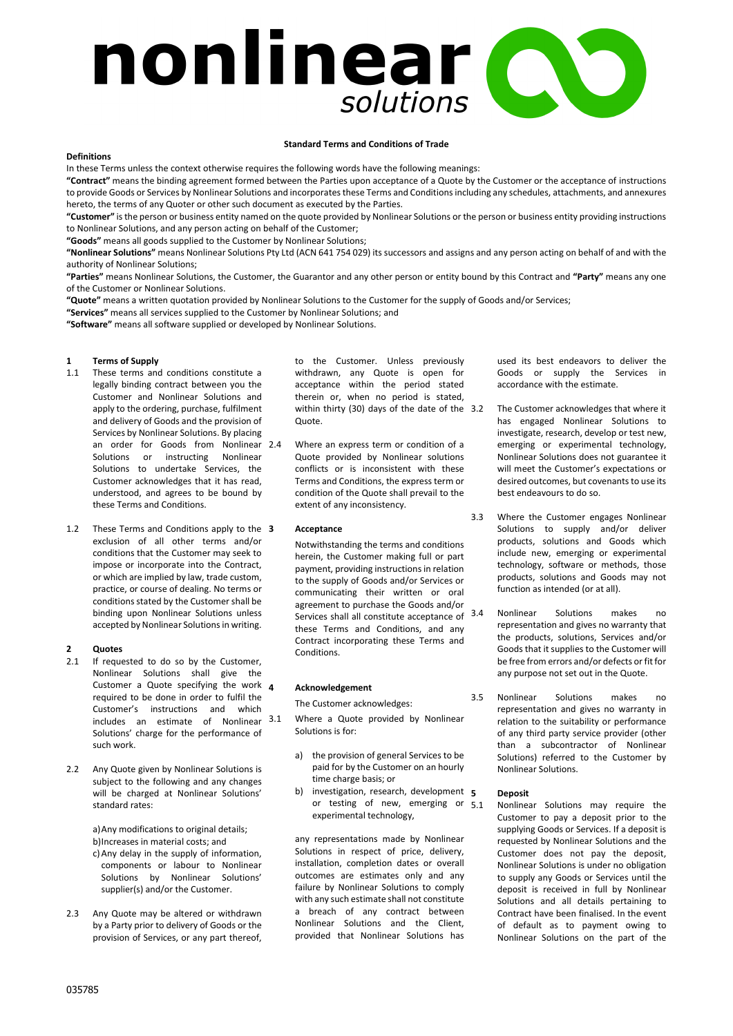## nonlinear C solutions

#### **Standard Terms and Conditions of Trade**

#### **Definitions**

In these Terms unless the context otherwise requires the following words have the following meanings:

**"Contract"** means the binding agreement formed between the Parties upon acceptance of a Quote by the Customer or the acceptance of instructions to provide Goods or Services by Nonlinear Solutions and incorporates these Terms and Conditions including any schedules, attachments, and annexures hereto, the terms of any Quoter or other such document as executed by the Parties.

**"Customer"** is the person or business entity named on the quote provided by Nonlinear Solutions or the person or business entity providing instructions to Nonlinear Solutions, and any person acting on behalf of the Customer;

**"Goods"** means all goods supplied to the Customer by Nonlinear Solutions;

**"Nonlinear Solutions"** means Nonlinear Solutions Pty Ltd (ACN 641 754 029) its successors and assigns and any person acting on behalf of and with the authority of Nonlinear Solutions;

**"Parties"** means Nonlinear Solutions, the Customer, the Guarantor and any other person or entity bound by this Contract and **"Party"** means any one of the Customer or Nonlinear Solutions.

**"Quote"** means a written quotation provided by Nonlinear Solutions to the Customer for the supply of Goods and/or Services;

**"Services"** means all services supplied to the Customer by Nonlinear Solutions; and

**"Software"** means all software supplied or developed by Nonlinear Solutions.

### **1 Terms of Supply**<br>**1.1** These terms and

- These terms and conditions constitute a legally binding contract between you the Customer and Nonlinear Solutions and apply to the ordering, purchase, fulfilment and delivery of Goods and the provision of Services by Nonlinear Solutions. By placing an order for Goods from Nonlinear 2.4 Solutions or instructing Nonlinear Solutions to undertake Services, the Customer acknowledges that it has read, understood, and agrees to be bound by these Terms and Conditions.
- 1.2 These Terms and Conditions apply to the 3 exclusion of all other terms and/or conditions that the Customer may seek to impose or incorporate into the Contract, or which are implied by law, trade custom, practice, or course of dealing. No terms or conditions stated by the Customer shall be binding upon Nonlinear Solutions unless accepted by Nonlinear Solutions in writing.

#### **2 Quotes**

- 2.1 If requested to do so by the Customer, Nonlinear Solutions shall give the Customer a Quote specifying the work 4 required to be done in order to fulfil the Customer's instructions and which includes an estimate of Nonlinear 3.1 Solutions' charge for the performance of such work.
- 2.2 Any Quote given by Nonlinear Solutions is subject to the following and any changes will be charged at Nonlinear Solutions' standard rates:

a)Any modifications to original details; b)Increases in material costs; and c) Any delay in the supply of information, components or labour to Nonlinear Solutions by Nonlinear Solutions' supplier(s) and/or the Customer.

2.3 Any Quote may be altered or withdrawn by a Party prior to delivery of Goods or the provision of Services, or any part thereof,

to the Customer. Unless previously withdrawn, any Quote is open for acceptance within the period stated therein or, when no period is stated, within thirty (30) days of the date of the 3.2 Quote.

Where an express term or condition of a Quote provided by Nonlinear solutions conflicts or is inconsistent with these Terms and Conditions, the express term or condition of the Quote shall prevail to the extent of any inconsistency.

#### **3 Acceptance**

Notwithstanding the terms and conditions herein, the Customer making full or part payment, providing instructions in relation to the supply of Goods and/or Services or communicating their written or oral agreement to purchase the Goods and/or Services shall all constitute acceptance of  $3.4$ these Terms and Conditions, and any Contract incorporating these Terms and Conditions.

#### **4 Acknowledgement**

The Customer acknowledges:

Where a Quote provided by Nonlinear Solutions is for:

- a) the provision of general Services to be paid for by the Customer on an hourly time charge basis; or
- b) investigation, research, development  $\epsilon$ or testing of new, emerging or 5.1 experimental technology,

any representations made by Nonlinear Solutions in respect of price, delivery, installation, completion dates or overall outcomes are estimates only and any failure by Nonlinear Solutions to comply with any such estimate shall not constitute a breach of any contract between Nonlinear Solutions and the Client, provided that Nonlinear Solutions has

used its best endeavors to deliver the Goods or supply the Services in accordance with the estimate.

- The Customer acknowledges that where it has engaged Nonlinear Solutions to investigate, research, develop or test new, emerging or experimental technology, Nonlinear Solutions does not guarantee it will meet the Customer's expectations or desired outcomes, but covenants to use its best endeavours to do so.
- 3.3 Where the Customer engages Nonlinear Solutions to supply and/or deliver products, solutions and Goods which include new, emerging or experimental technology, software or methods, those products, solutions and Goods may not function as intended (or at all).
	- 3.4 Nonlinear Solutions makes no representation and gives no warranty that the products, solutions, Services and/or Goods that it supplies to the Customer will be free from errors and/or defects or fit for any purpose not set out in the Quote.
- 3.5 Nonlinear Solutions makes no representation and gives no warranty in relation to the suitability or performance of any third party service provider (other than a subcontractor of Nonlinear Solutions) referred to the Customer by Nonlinear Solutions.

#### **5 Deposit**

5.1 Nonlinear Solutions may require the Customer to pay a deposit prior to the supplying Goods or Services. If a deposit is requested by Nonlinear Solutions and the Customer does not pay the deposit, Nonlinear Solutions is under no obligation to supply any Goods or Services until the deposit is received in full by Nonlinear Solutions and all details pertaining to Contract have been finalised. In the event of default as to payment owing to Nonlinear Solutions on the part of the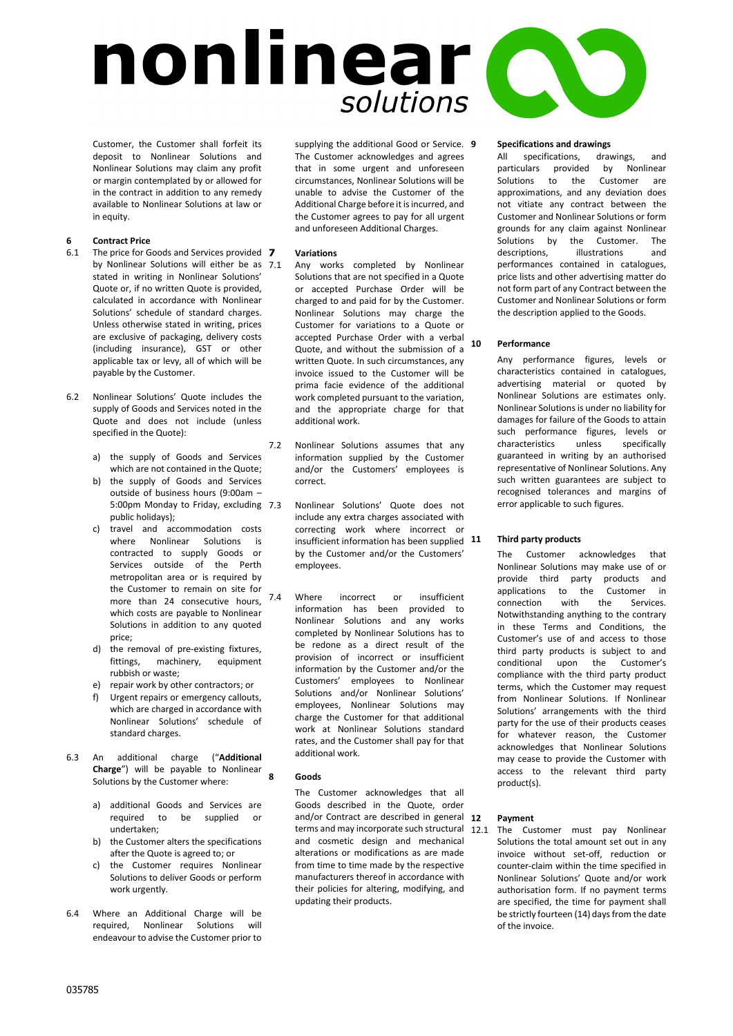# nonlinear C solutions

Customer, the Customer shall forfeit its deposit to Nonlinear Solutions and Nonlinear Solutions may claim any profit or margin contemplated by or allowed for in the contract in addition to any remedy available to Nonlinear Solutions at law or in equity.

#### **6 Contract Price**

- 6.1 The price for Goods and Services provided 7 by Nonlinear Solutions will either be as 7.1 stated in writing in Nonlinear Solutions' Quote or, if no written Quote is provided, calculated in accordance with Nonlinear Solutions' schedule of standard charges. Unless otherwise stated in writing, prices are exclusive of packaging, delivery costs (including insurance), GST or other applicable tax or levy, all of which will be payable by the Customer.
- 6.2 Nonlinear Solutions' Quote includes the supply of Goods and Services noted in the Quote and does not include (unless specified in the Quote):
	- a) the supply of Goods and Services which are not contained in the Quote;
	- b) the supply of Goods and Services outside of business hours (9:00am – 5:00pm Monday to Friday, excluding public holidays);
	- c) travel and accommodation costs where Nonlinear Solutions is contracted to supply Goods or Services outside of the Perth metropolitan area or is required by the Customer to remain on site for more than 24 consecutive hours, 7.4 which costs are payable to Nonlinear Solutions in addition to any quoted price;
	- d) the removal of pre-existing fixtures, fittings, machinery, equipment rubbish or waste;
	- e) repair work by other contractors; or
	- f) Urgent repairs or emergency callouts, which are charged in accordance with Nonlinear Solutions' schedule of standard charges.
- 6.3 An additional charge ("**Additional Charge**") will be payable to Nonlinear Solutions by the Customer where:
	- a) additional Goods and Services are required to be supplied or undertaken;
	- b) the Customer alters the specifications after the Quote is agreed to; or
	- c) the Customer requires Nonlinear Solutions to deliver Goods or perform work urgently.
- 6.4 Where an Additional Charge will be required, Nonlinear Solutions will endeavour to advise the Customer prior to

supplying the additional Good or Service. 9 The Customer acknowledges and agrees that in some urgent and unforeseen circumstances, Nonlinear Solutions will be unable to advise the Customer of the Additional Charge before it is incurred, and the Customer agrees to pay for all urgent and unforeseen Additional Charges.

#### **7 Variations**

- Any works completed by Nonlinear Solutions that are not specified in a Quote or accepted Purchase Order will be charged to and paid for by the Customer. Nonlinear Solutions may charge the Customer for variations to a Quote or accepted Purchase Order with a verbal Quote, and without the submission of a written Quote. In such circumstances, any invoice issued to the Customer will be prima facie evidence of the additional work completed pursuant to the variation, and the appropriate charge for that additional work.
- 7.2 Nonlinear Solutions assumes that any information supplied by the Customer and/or the Customers' employees is correct.
	- 7.3 Nonlinear Solutions' Quote does not include any extra charges associated with correcting work where incorrect or insufficient information has been supplied 11 by the Customer and/or the Customers' employees.
	- Where incorrect or insufficient information has been provided to Nonlinear Solutions and any works completed by Nonlinear Solutions has to be redone as a direct result of the provision of incorrect or insufficient information by the Customer and/or the Customers' employees to Nonlinear Solutions and/or Nonlinear Solutions' employees, Nonlinear Solutions may charge the Customer for that additional work at Nonlinear Solutions standard rates, and the Customer shall pay for that additional work.

#### **8 Goods**

The Customer acknowledges that all Goods described in the Quote, order and/or Contract are described in general 12 terms and may incorporate such structural 12.1 and cosmetic design and mechanical alterations or modifications as are made from time to time made by the respective manufacturers thereof in accordance with their policies for altering, modifying, and updating their products.

## **9 Specifications and drawings**

All specifications, drawings, and particulars provided by Nonlinear Solutions to the Customer are approximations, and any deviation does not vitiate any contract between the Customer and Nonlinear Solutions or form grounds for any claim against Nonlinear Solutions by the Customer. The<br>descriptions. illustrations and descriptions, performances contained in catalogues, price lists and other advertising matter do not form part of any Contract between the Customer and Nonlinear Solutions or form the description applied to the Goods.

#### **10 Performance**

Any performance figures, levels or characteristics contained in catalogues, advertising material or quoted by Nonlinear Solutions are estimates only. Nonlinear Solutions is under no liability for damages for failure of the Goods to attain such performance figures, levels or characteristics unless specifically guaranteed in writing by an authorised representative of Nonlinear Solutions. Any such written guarantees are subject to recognised tolerances and margins of error applicable to such figures.

#### **11 Third party products**

The Customer acknowledges that Nonlinear Solutions may make use of or provide third party products and applications to the Customer in<br>connection with the Services. connection with the Notwithstanding anything to the contrary in these Terms and Conditions, the Customer's use of and access to those third party products is subject to and conditional upon the Customer's compliance with the third party product terms, which the Customer may request from Nonlinear Solutions. If Nonlinear Solutions' arrangements with the third party for the use of their products ceases for whatever reason, the Customer acknowledges that Nonlinear Solutions may cease to provide the Customer with access to the relevant third party product(s).

#### **12 Payment**

The Customer must pay Nonlinear Solutions the total amount set out in any invoice without set-off, reduction or counter-claim within the time specified in Nonlinear Solutions' Quote and/or work authorisation form. If no payment terms are specified, the time for payment shall be strictly fourteen (14) days from the date of the invoice.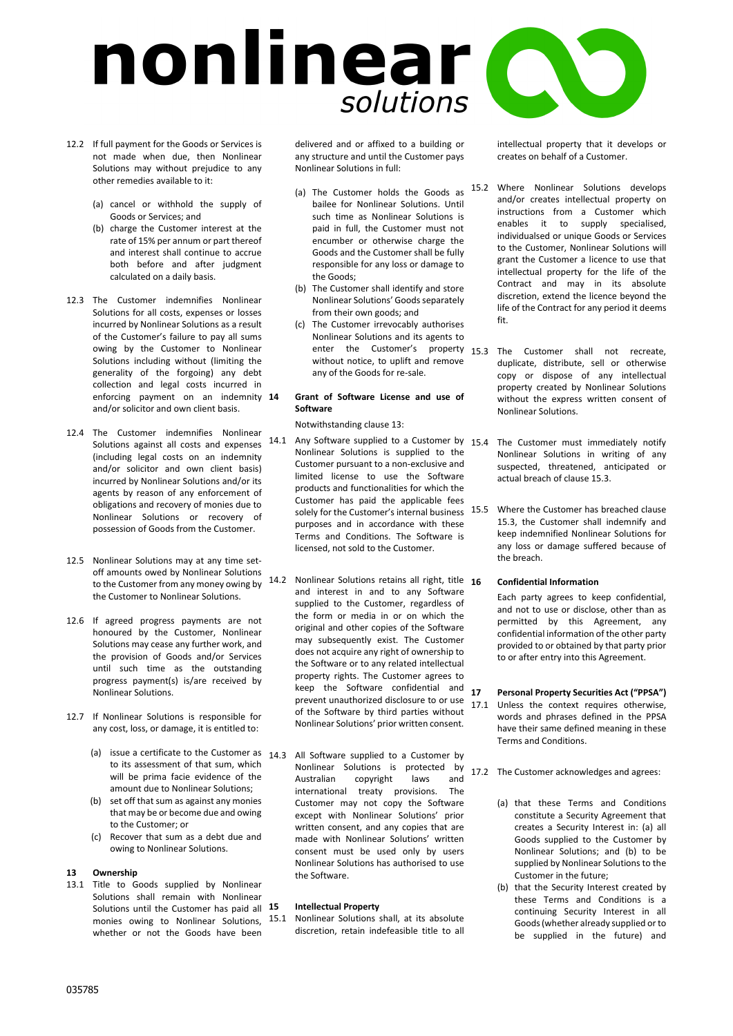

- 12.2 If full payment for the Goods or Services is not made when due, then Nonlinear Solutions may without prejudice to any other remedies available to it:
	- (a) cancel or withhold the supply of Goods or Services; and
	- (b) charge the Customer interest at the rate of 15% per annum or part thereof and interest shall continue to accrue both before and after judgment calculated on a daily basis.
- 12.3 The Customer indemnifies Nonlinear Solutions for all costs, expenses or losses incurred by Nonlinear Solutions as a result of the Customer's failure to pay all sums owing by the Customer to Nonlinear Solutions including without (limiting the generality of the forgoing) any debt collection and legal costs incurred in enforcing payment on an indemnity 14 and/or solicitor and own client basis.
- 12.4 The Customer indemnifies Nonlinear Solutions against all costs and expenses (including legal costs on an indemnity and/or solicitor and own client basis) incurred by Nonlinear Solutions and/or its agents by reason of any enforcement of obligations and recovery of monies due to Nonlinear Solutions or recovery of possession of Goods from the Customer.
- 12.5 Nonlinear Solutions may at any time setoff amounts owed by Nonlinear Solutions to the Customer from any money owing by the Customer to Nonlinear Solutions.
- 12.6 If agreed progress payments are not honoured by the Customer, Nonlinear Solutions may cease any further work, and the provision of Goods and/or Services until such time as the outstanding progress payment(s) is/are received by Nonlinear Solutions.
- 12.7 If Nonlinear Solutions is responsible for any cost, loss, or damage, it is entitled to:
	- (a) issue a certificate to the Customer as 14.3 All Software supplied to a Customer by to its assessment of that sum, which will be prima facie evidence of the amount due to Nonlinear Solutions;
	- (b) set off that sum as against any monies that may be or become due and owing to the Customer; or
	- (c) Recover that sum as a debt due and owing to Nonlinear Solutions.

#### **13 Ownership**

13.1 Title to Goods supplied by Nonlinear Solutions shall remain with Nonlinear Solutions until the Customer has paid all 15 monies owing to Nonlinear Solutions, whether or not the Goods have been

delivered and or affixed to a building or any structure and until the Customer pays Nonlinear Solutions in full:

- (a) The Customer holds the Goods as <sup>15.2</sup> bailee for Nonlinear Solutions. Until such time as Nonlinear Solutions is paid in full, the Customer must not encumber or otherwise charge the Goods and the Customer shall be fully responsible for any loss or damage to the Goods;
- (b) The Customer shall identify and store Nonlinear Solutions' Goods separately from their own goods; and
- (c) The Customer irrevocably authorises Nonlinear Solutions and its agents to enter the Customer's property 15.3 without notice, to uplift and remove any of the Goods for re-sale.

#### **14 Grant of Software License and use of Software**

Notwithstanding clause 13:

- 14.1 Any Software supplied to a Customer by 15.4 Nonlinear Solutions is supplied to the Customer pursuant to a non-exclusive and limited license to use the Software products and functionalities for which the Customer has paid the applicable fees solely for the Customer's internal business 15.5 purposes and in accordance with these Terms and Conditions. The Software is licensed, not sold to the Customer.
- 14.2 Nonlinear Solutions retains all right, title 16 and interest in and to any Software supplied to the Customer, regardless of the form or media in or on which the original and other copies of the Software may subsequently exist. The Customer does not acquire any right of ownership to the Software or to any related intellectual property rights. The Customer agrees to  $\begin{bmatrix} k & k \\ k & k \end{bmatrix}$  the Software confidential and  $\begin{bmatrix} 1 \\ 2 \end{bmatrix}$ prevent unauthorized disclosure to or use  $\frac{1}{17.1}$ of the Software by third parties without Nonlinear Solutions' prior written consent.
	- Nonlinear Solutions is protected by Australian copyright laws and international treaty provisions. The Customer may not copy the Software except with Nonlinear Solutions' prior written consent, and any copies that are made with Nonlinear Solutions' written consent must be used only by users Nonlinear Solutions has authorised to use the Software.

#### **15 Intellectual Property**

Nonlinear Solutions shall, at its absolute discretion, retain indefeasible title to all

intellectual property that it develops or creates on behalf of a Customer.

- Where Nonlinear Solutions develops and/or creates intellectual property on instructions from a Customer which enables it to supply specialised, individualsed or unique Goods or Services to the Customer, Nonlinear Solutions will grant the Customer a licence to use that intellectual property for the life of the Contract and may in its absolute discretion, extend the licence beyond the life of the Contract for any period it deems fit.
- The Customer shall not recreate, duplicate, distribute, sell or otherwise copy or dispose of any intellectual property created by Nonlinear Solutions without the express written consent of Nonlinear Solutions.
- The Customer must immediately notify Nonlinear Solutions in writing of any suspected, threatened, anticipated or actual breach of clause 15.3.
- Where the Customer has breached clause 15.3, the Customer shall indemnify and keep indemnified Nonlinear Solutions for any loss or damage suffered because of the breach.

#### **16 Confidential Information**

Each party agrees to keep confidential, and not to use or disclose, other than as permitted by this Agreement, any confidential information of the other party provided to or obtained by that party prior to or after entry into this Agreement.

**17 Personal Property Securities Act ("PPSA")** Unless the context requires otherwise, words and phrases defined in the PPSA have their same defined meaning in these Terms and Conditions.

17.2 The Customer acknowledges and agrees:

- (a) that these Terms and Conditions constitute a Security Agreement that creates a Security Interest in: (a) all Goods supplied to the Customer by Nonlinear Solutions; and (b) to be supplied by Nonlinear Solutions to the Customer in the future;
- (b) that the Security Interest created by these Terms and Conditions is a continuing Security Interest in all Goods (whether already supplied or to be supplied in the future) and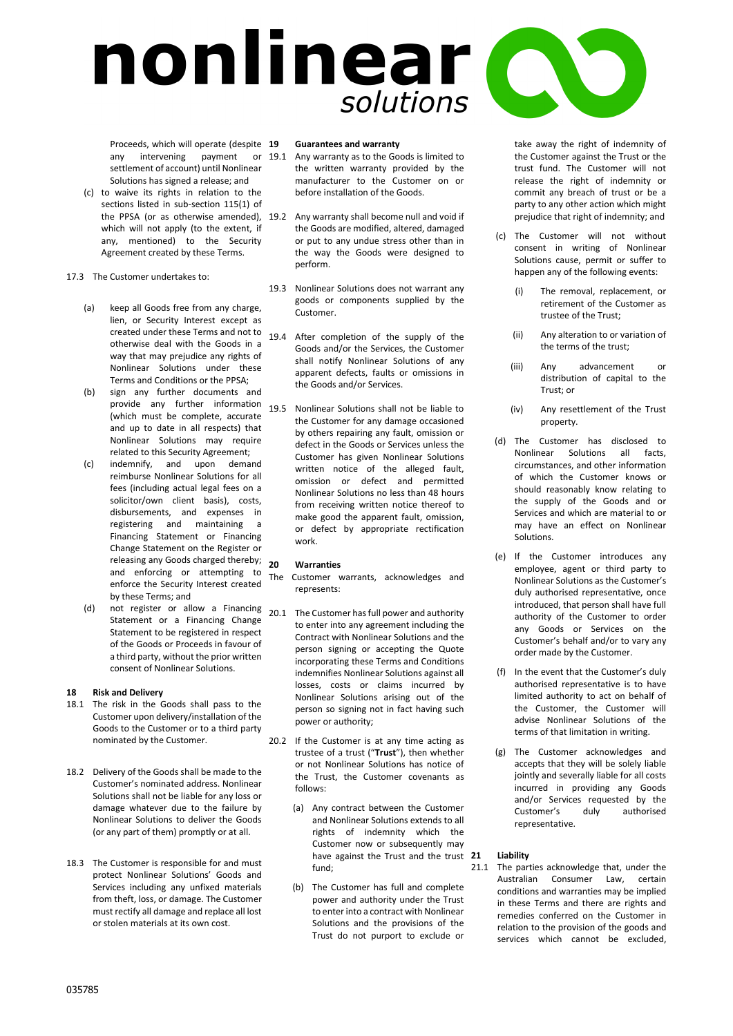

Proceeds, which will operate (despite 19<br>any intervening payment or 19.1 any intervening settlement of account) until Nonlinear Solutions has signed a release; and

- (c) to waive its rights in relation to the sections listed in sub-section 115(1) of which will not apply (to the extent, if any, mentioned) to the Security Agreement created by these Terms.
- 17.3 The Customer undertakes to:
	- (a) keep all Goods free from any charge, lien, or Security Interest except as created under these Terms and not to otherwise deal with the Goods in a way that may prejudice any rights of Nonlinear Solutions under these Terms and Conditions or the PPSA;
	- (b) sign any further documents and provide any further information  $_{19.5}$ (which must be complete, accurate and up to date in all respects) that Nonlinear Solutions may require related to this Security Agreement;
	- (c) indemnify, and upon demand reimburse Nonlinear Solutions for all fees (including actual legal fees on a solicitor/own client basis), costs, disbursements, and expenses in registering and maintaining a Financing Statement or Financing Change Statement on the Register or releasing any Goods charged thereby; 20 and enforcing or attempting to enforce the Security Interest created by these Terms; and
	- (d) not register or allow a Financing 20.1 The Customer has full power and authority Statement or a Financing Change Statement to be registered in respect of the Goods or Proceeds in favour of a third party, without the prior written consent of Nonlinear Solutions.

### **18 Risk and Delivery**

- The risk in the Goods shall pass to the Customer upon delivery/installation of the Goods to the Customer or to a third party nominated by the Customer.
- 18.2 Delivery of the Goods shall be made to the Customer's nominated address. Nonlinear Solutions shall not be liable for any loss or damage whatever due to the failure by Nonlinear Solutions to deliver the Goods (or any part of them) promptly or at all.
- 18.3 The Customer is responsible for and must protect Nonlinear Solutions' Goods and Services including any unfixed materials from theft, loss, or damage. The Customer must rectify all damage and replace all lost or stolen materials at its own cost.

#### **19 Guarantees and warranty**

Any warranty as to the Goods is limited to the written warranty provided by the manufacturer to the Customer on or before installation of the Goods.

- the PPSA (or as otherwise amended), 19.2 Any warranty shall become null and void if the Goods are modified, altered, damaged or put to any undue stress other than in the way the Goods were designed to perform.
	- 19.3 Nonlinear Solutions does not warrant any goods or components supplied by the Customer.
	- 19.4 After completion of the supply of the Goods and/or the Services, the Customer shall notify Nonlinear Solutions of any apparent defects, faults or omissions in the Goods and/or Services.
		- 19.5 Nonlinear Solutions shall not be liable to the Customer for any damage occasioned by others repairing any fault, omission or defect in the Goods or Services unless the Customer has given Nonlinear Solutions written notice of the alleged fault, omission or defect and permitted Nonlinear Solutions no less than 48 hours from receiving written notice thereof to make good the apparent fault, omission, or defect by appropriate rectification work.

### **20 Warranties**

Customer warrants, acknowledges and represents:

- to enter into any agreement including the Contract with Nonlinear Solutions and the person signing or accepting the Quote incorporating these Terms and Conditions indemnifies Nonlinear Solutions against all losses, costs or claims incurred by Nonlinear Solutions arising out of the person so signing not in fact having such power or authority;
- 20.2 If the Customer is at any time acting as trustee of a trust ("**Trust**"), then whether or not Nonlinear Solutions has notice of the Trust, the Customer covenants as follows:
	- (a) Any contract between the Customer and Nonlinear Solutions extends to all rights of indemnity which the Customer now or subsequently may have against the Trust and the trust 21 fund;
	- (b) The Customer has full and complete power and authority under the Trust to enter into a contract with Nonlinear Solutions and the provisions of the Trust do not purport to exclude or

take away the right of indemnity of the Customer against the Trust or the trust fund. The Customer will not release the right of indemnity or commit any breach of trust or be a party to any other action which might prejudice that right of indemnity; and

- (c) The Customer will not without consent in writing of Nonlinear Solutions cause, permit or suffer to happen any of the following events:
	- (i) The removal, replacement, or retirement of the Customer as trustee of the Trust;
	- (ii) Any alteration to or variation of the terms of the trust;
	- (iii) Any advancement or distribution of capital to the Trust; or
	- (iv) Any resettlement of the Trust property.
- (d) The Customer has disclosed to Nonlinear Solutions all facts, circumstances, and other information of which the Customer knows or should reasonably know relating to the supply of the Goods and or Services and which are material to or may have an effect on Nonlinear Solutions.
- (e) If the Customer introduces any employee, agent or third party to Nonlinear Solutions as the Customer's duly authorised representative, once introduced, that person shall have full authority of the Customer to order any Goods or Services on the Customer's behalf and/or to vary any order made by the Customer.
- (f) In the event that the Customer's duly authorised representative is to have limited authority to act on behalf of the Customer, the Customer will advise Nonlinear Solutions of the terms of that limitation in writing.
- (g) The Customer acknowledges and accepts that they will be solely liable jointly and severally liable for all costs incurred in providing any Goods and/or Services requested by the Customer's duly authorised representative.

#### **21 Liability**

21.1 The parties acknowledge that, under the Australian Consumer Law, certain conditions and warranties may be implied in these Terms and there are rights and remedies conferred on the Customer in relation to the provision of the goods and services which cannot be excluded,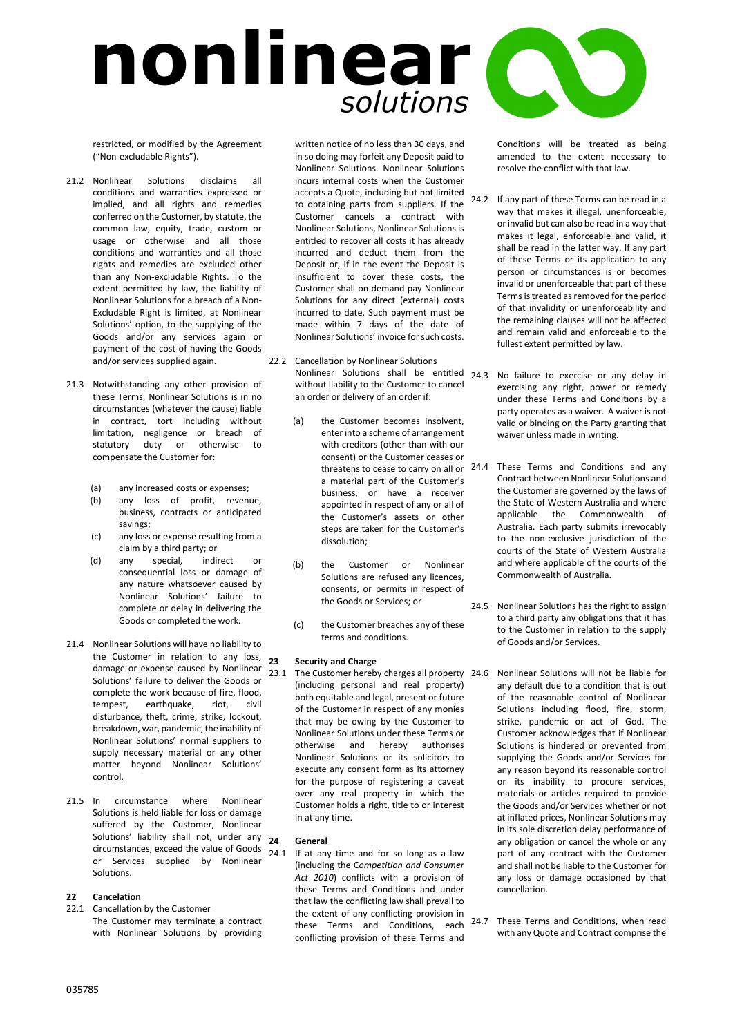# nonlinear ( solutions

restricted, or modified by the Agreement ("Non-excludable Rights").

- 21.2 Nonlinear Solutions disclaims all conditions and warranties expressed or implied, and all rights and remedies conferred on the Customer, by statute, the common law, equity, trade, custom or usage or otherwise and all those conditions and warranties and all those rights and remedies are excluded other than any Non-excludable Rights. To the extent permitted by law, the liability of Nonlinear Solutions for a breach of a Non-Excludable Right is limited, at Nonlinear Solutions' option, to the supplying of the Goods and/or any services again or payment of the cost of having the Goods and/or services supplied again.
- 21.3 Notwithstanding any other provision of these Terms, Nonlinear Solutions is in no circumstances (whatever the cause) liable in contract, tort including without limitation, negligence or breach of statutory duty or otherwise to compensate the Customer for:
	- (a) any increased costs or expenses;
	- (b) any loss of profit, revenue, business, contracts or anticipated savings;
	- (c) any loss or expense resulting from a claim by a third party; or<br>any special. indi-
	- (d) any special, indirect or consequential loss or damage of any nature whatsoever caused by Nonlinear Solutions' failure to complete or delay in delivering the Goods or completed the work.
- 21.4 Nonlinear Solutions will have no liability to the Customer in relation to any loss,  $23$ damage or expense caused by Nonlinear Solutions' failure to deliver the Goods or complete the work because of fire, flood,<br>tempest. earthquake. riot. civil earthquake, disturbance, theft, crime, strike, lockout, breakdown, war, pandemic, the inability of Nonlinear Solutions' normal suppliers to supply necessary material or any other matter beyond Nonlinear Solutions' control.
- 21.5 In circumstance where Nonlinear Solutions is held liable for loss or damage suffered by the Customer, Nonlinear Solutions' liability shall not, under any 24 circumstances, exceed the value of Goods  $24.1$ or Services supplied by Nonlinear Solutions.

#### **22 Cancelation**

22.1 Cancellation by the Customer The Customer may terminate a contract with Nonlinear Solutions by providing written notice of no less than 30 days, and in so doing may forfeit any Deposit paid to Nonlinear Solutions. Nonlinear Solutions incurs internal costs when the Customer accepts a Quote, including but not limited to obtaining parts from suppliers. If the Customer cancels a contract with Nonlinear Solutions, Nonlinear Solutions is entitled to recover all costs it has already incurred and deduct them from the Deposit or, if in the event the Deposit is insufficient to cover these costs, the Customer shall on demand pay Nonlinear Solutions for any direct (external) costs incurred to date. Such payment must be made within 7 days of the date of Nonlinear Solutions' invoice for such costs.

- 22.2 Cancellation by Nonlinear Solutions Nonlinear Solutions shall be entitled  $243$ without liability to the Customer to cancel an order or delivery of an order if:
	- (a) the Customer becomes insolvent, enter into a scheme of arrangement with creditors (other than with our consent) or the Customer ceases or threatens to cease to carry on all or 24.4 a material part of the Customer's business, or have a receiver appointed in respect of any or all of the Customer's assets or other steps are taken for the Customer's dissolution;
	- (b) the Customer or Nonlinear Solutions are refused any licences, consents, or permits in respect of the Goods or Services; or
	- (c) the Customer breaches any of these terms and conditions.

#### **23 Security and Charge**

23.1 The Customer hereby charges all property 24.6 (including personal and real property) both equitable and legal, present or future of the Customer in respect of any monies that may be owing by the Customer to Nonlinear Solutions under these Terms or otherwise and hereby authorises Nonlinear Solutions or its solicitors to execute any consent form as its attorney for the purpose of registering a caveat over any real property in which the Customer holds a right, title to or interest in at any time.

#### **24 General**

If at any time and for so long as a law (including the C*ompetition and Consumer Act 2010*) conflicts with a provision of these Terms and Conditions and under that law the conflicting law shall prevail to the extent of any conflicting provision in these Terms and Conditions, each 24.7 conflicting provision of these Terms and

Conditions will be treated as being amended to the extent necessary to resolve the conflict with that law.

- 24.2 If any part of these Terms can be read in a way that makes it illegal, unenforceable, or invalid but can also be read in a way that makes it legal, enforceable and valid, it shall be read in the latter way. If any part of these Terms or its application to any person or circumstances is or becomes invalid or unenforceable that part of these Termsis treated as removed for the period of that invalidity or unenforceability and the remaining clauses will not be affected and remain valid and enforceable to the fullest extent permitted by law.
	- No failure to exercise or any delay in exercising any right, power or remedy under these Terms and Conditions by a party operates as a waiver. A waiver is not valid or binding on the Party granting that waiver unless made in writing.
	- These Terms and Conditions and any Contract between Nonlinear Solutions and the Customer are governed by the laws of the State of Western Australia and where applicable the Commonwealth of Australia. Each party submits irrevocably to the non-exclusive jurisdiction of the courts of the State of Western Australia and where applicable of the courts of the Commonwealth of Australia.
- 24.5 Nonlinear Solutions has the right to assign to a third party any obligations that it has to the Customer in relation to the supply of Goods and/or Services.
	- Nonlinear Solutions will not be liable for any default due to a condition that is out of the reasonable control of Nonlinear Solutions including flood, fire, storm, strike, pandemic or act of God. The Customer acknowledges that if Nonlinear Solutions is hindered or prevented from supplying the Goods and/or Services for any reason beyond its reasonable control or its inability to procure services, materials or articles required to provide the Goods and/or Services whether or not at inflated prices, Nonlinear Solutions may in its sole discretion delay performance of any obligation or cancel the whole or any part of any contract with the Customer and shall not be liable to the Customer for any loss or damage occasioned by that cancellation.
	- These Terms and Conditions, when read with any Quote and Contract comprise the